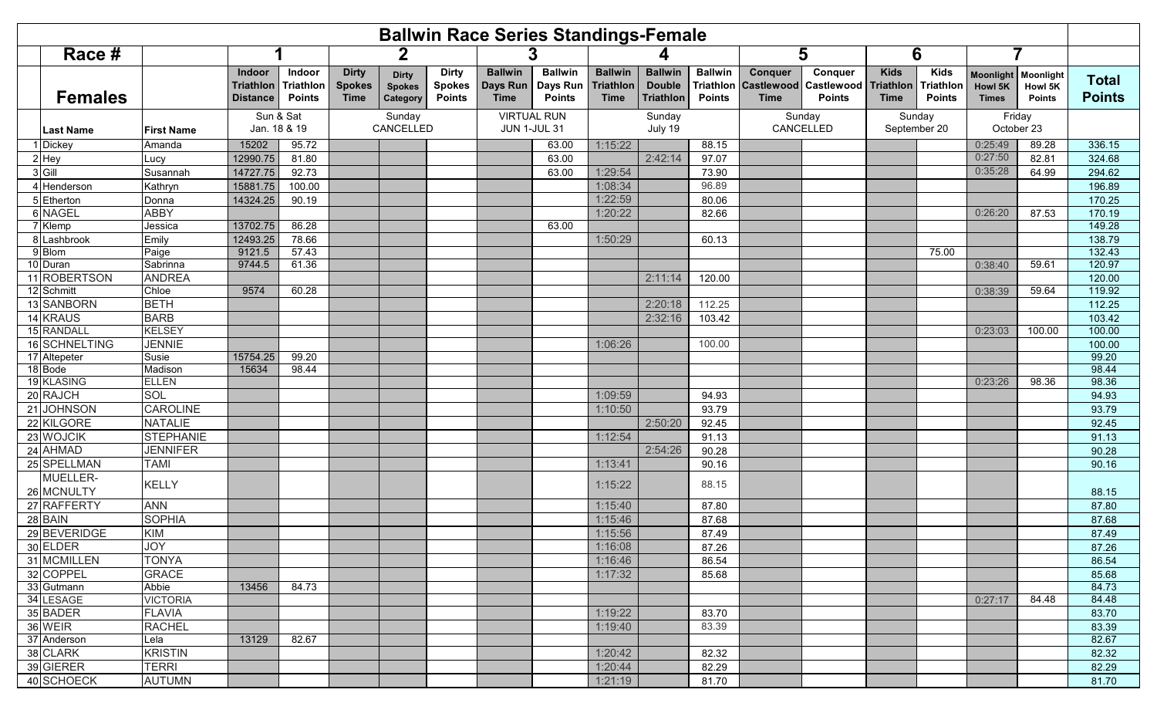|   |                          |                              |                                               |                                      |                                              |                                           |                                                | <b>Ballwin Race Series Standings-Female</b>      |                                             |                                            |                                                     |                                              |                                      |                                               |                                         |                                           |                                             |                                       |                               |
|---|--------------------------|------------------------------|-----------------------------------------------|--------------------------------------|----------------------------------------------|-------------------------------------------|------------------------------------------------|--------------------------------------------------|---------------------------------------------|--------------------------------------------|-----------------------------------------------------|----------------------------------------------|--------------------------------------|-----------------------------------------------|-----------------------------------------|-------------------------------------------|---------------------------------------------|---------------------------------------|-------------------------------|
|   | Race #                   |                              | 2                                             |                                      |                                              |                                           |                                                |                                                  |                                             |                                            |                                                     |                                              |                                      | 5                                             | 6                                       |                                           |                                             |                                       |                               |
|   | <b>Females</b>           |                              | Indoor<br><b>Triathlon</b><br><b>Distance</b> | Indoor<br>Triathlon<br><b>Points</b> | <b>Dirty</b><br><b>Spokes</b><br><b>Time</b> | <b>Dirty</b><br><b>Spokes</b><br>Category | <b>Dirty</b><br><b>Spokes</b><br><b>Points</b> | <b>Ballwin</b><br><b>Days Run</b><br><b>Time</b> | <b>Ballwin</b><br>Days Run<br><b>Points</b> | <b>Ballwin</b><br>Triathlon<br><b>Time</b> | <b>Ballwin</b><br><b>Double</b><br><b>Triathlon</b> | <b>Ballwin</b><br>Triathlon<br><b>Points</b> | Conquer<br>Castlewood<br><b>Time</b> | Conquer<br><b>Castlewood</b><br><b>Points</b> | <b>Kids</b><br>Triathlon<br><b>Time</b> | <b>Kids</b><br>Triathlor<br><b>Points</b> | <b>Moonlight</b><br>Howl 5K<br><b>Times</b> | Moonlight<br>Howl 5K<br><b>Points</b> | <b>Total</b><br><b>Points</b> |
|   | Last Name                | <b>First Name</b>            | Sun & Sat<br>Jan. 18 & 19                     |                                      | Sunday<br>CANCELLED                          |                                           |                                                | <b>VIRTUAL RUN</b><br><b>JUN 1-JUL 31</b>        |                                             | Sunday<br>July 19                          |                                                     |                                              | Sunday<br>CANCELLED                  |                                               | Sunday<br>September 20                  |                                           | Friday<br>October 23                        |                                       |                               |
|   | <b>Dickey</b>            | Amanda                       | 15202                                         | 95.72                                |                                              |                                           |                                                |                                                  | 63.00                                       | 1:15:22                                    |                                                     | 88.15                                        |                                      |                                               |                                         |                                           | 0:25:49                                     | 89.28                                 | 336.15                        |
|   | Hey                      | Lucy                         | 12990.75                                      | 81.80                                |                                              |                                           |                                                |                                                  | 63.00                                       |                                            | 2:42:14                                             | 97.07                                        |                                      |                                               |                                         |                                           | 0:27:50                                     | 82.81                                 | 324.68                        |
| 3 | Gill                     | Susannah                     | 14727.75                                      | 92.73                                |                                              |                                           |                                                |                                                  | 63.00                                       | 1:29:54                                    |                                                     | 73.90                                        |                                      |                                               |                                         |                                           | 0:35:28                                     | 64.99                                 | 294.62                        |
|   | Henderson                | Kathryn                      | 15881.75                                      | 100.00                               |                                              |                                           |                                                |                                                  |                                             | 1:08:34                                    |                                                     | 96.89                                        |                                      |                                               |                                         |                                           |                                             |                                       | 196.89                        |
|   | Etherton                 | Donna                        | 14324.25                                      | 90.19                                |                                              |                                           |                                                |                                                  |                                             | 1:22:59                                    |                                                     | 80.06                                        |                                      |                                               |                                         |                                           |                                             |                                       | 170.25                        |
|   | <b>NAGEL</b>             | <b>ABBY</b>                  |                                               |                                      |                                              |                                           |                                                |                                                  |                                             | 1:20:22                                    |                                                     | 82.66                                        |                                      |                                               |                                         |                                           | 0:26:20                                     | 87.53                                 | 170.19                        |
|   | 7 Klemp                  | Jessica                      | 13702.75                                      | 86.28                                |                                              |                                           |                                                |                                                  | 63.00                                       |                                            |                                                     |                                              |                                      |                                               |                                         |                                           |                                             |                                       | 149.28                        |
| 8 | Lashbrook                | Emily                        | 12493.25                                      | 78.66                                |                                              |                                           |                                                |                                                  |                                             | 1:50:29                                    |                                                     | 60.13                                        |                                      |                                               |                                         |                                           |                                             |                                       | 138.79                        |
|   | 9 Blom                   | Paige                        | 9121.5                                        | 57.43                                |                                              |                                           |                                                |                                                  |                                             |                                            |                                                     |                                              |                                      |                                               |                                         | 75.00                                     |                                             |                                       | 132.43                        |
|   | 10 Duran<br>11 ROBERTSON | Sabrinna                     | 9744.5                                        | 61.36                                |                                              |                                           |                                                |                                                  |                                             |                                            |                                                     |                                              |                                      |                                               |                                         |                                           | 0:38:40                                     | 59.61                                 | 120.97                        |
|   |                          | <b>ANDREA</b>                |                                               |                                      |                                              |                                           |                                                |                                                  |                                             |                                            | 2:11:14                                             | 120.00                                       |                                      |                                               |                                         |                                           |                                             |                                       | 120.00<br>119.92              |
|   | 12 Schmitt<br>13 SANBORN | Chloe<br><b>BETH</b>         | 9574                                          | 60.28                                |                                              |                                           |                                                |                                                  |                                             |                                            |                                                     | 112.25                                       |                                      |                                               |                                         |                                           | 0:38:39                                     | 59.64                                 |                               |
|   | 14 KRAUS                 |                              |                                               |                                      |                                              |                                           |                                                |                                                  |                                             |                                            | 2:20:18                                             |                                              |                                      |                                               |                                         |                                           |                                             |                                       | 112.25                        |
|   | 15 RANDALL               | <b>BARB</b><br><b>KELSEY</b> |                                               |                                      |                                              |                                           |                                                |                                                  |                                             |                                            | 2:32:16                                             | 103.42                                       |                                      |                                               |                                         |                                           | 0:23:03                                     | 100.00                                | 103.42<br>100.00              |
|   | 16 SCHNELTING            | <b>JENNIE</b>                |                                               |                                      |                                              |                                           |                                                |                                                  |                                             | 1:06:26                                    |                                                     | 100.00                                       |                                      |                                               |                                         |                                           |                                             |                                       | 100.00                        |
|   | 17 Altepeter             | Susie                        | 15754.25                                      | 99.20                                |                                              |                                           |                                                |                                                  |                                             |                                            |                                                     |                                              |                                      |                                               |                                         |                                           |                                             |                                       | 99.20                         |
|   | 18 Bode                  | Madison                      | 15634                                         | 98.44                                |                                              |                                           |                                                |                                                  |                                             |                                            |                                                     |                                              |                                      |                                               |                                         |                                           |                                             |                                       | 98.44                         |
|   | 19 KLASING               | <b>ELLEN</b>                 |                                               |                                      |                                              |                                           |                                                |                                                  |                                             |                                            |                                                     |                                              |                                      |                                               |                                         |                                           | 0:23:26                                     | 98.36                                 | 98.36                         |
|   | 20 RAJCH                 | SOL                          |                                               |                                      |                                              |                                           |                                                |                                                  |                                             | 1:09:59                                    |                                                     | 94.93                                        |                                      |                                               |                                         |                                           |                                             |                                       | 94.93                         |
|   | 21 JOHNSON               | <b>CAROLINE</b>              |                                               |                                      |                                              |                                           |                                                |                                                  |                                             | 1:10:50                                    |                                                     | 93.79                                        |                                      |                                               |                                         |                                           |                                             |                                       | 93.79                         |
|   | 22 KILGORE               | <b>NATALIE</b>               |                                               |                                      |                                              |                                           |                                                |                                                  |                                             |                                            | 2:50:20                                             | 92.45                                        |                                      |                                               |                                         |                                           |                                             |                                       | 92.45                         |
|   | 23 WOJCIK                | <b>STEPHANIE</b>             |                                               |                                      |                                              |                                           |                                                |                                                  |                                             | 1:12:54                                    |                                                     | 91.13                                        |                                      |                                               |                                         |                                           |                                             |                                       | 91.13                         |
|   | 24 AHMAD                 | <b>JENNIFER</b>              |                                               |                                      |                                              |                                           |                                                |                                                  |                                             |                                            | 2:54:26                                             | 90.28                                        |                                      |                                               |                                         |                                           |                                             |                                       | 90.28                         |
|   | 25 SPELLMAN              | <b>TAMI</b>                  |                                               |                                      |                                              |                                           |                                                |                                                  |                                             | 1:13:41                                    |                                                     | 90.16                                        |                                      |                                               |                                         |                                           |                                             |                                       | 90.16                         |
|   | MUELLER-                 |                              |                                               |                                      |                                              |                                           |                                                |                                                  |                                             |                                            |                                                     |                                              |                                      |                                               |                                         |                                           |                                             |                                       |                               |
|   | 26 MCNULTY               | <b>KELLY</b>                 |                                               |                                      |                                              |                                           |                                                |                                                  |                                             | 1:15:22                                    |                                                     | 88.15                                        |                                      |                                               |                                         |                                           |                                             |                                       | 88.15                         |
|   | 27 RAFFERTY              | <b>ANN</b>                   |                                               |                                      |                                              |                                           |                                                |                                                  |                                             | 1:15:40                                    |                                                     | 87.80                                        |                                      |                                               |                                         |                                           |                                             |                                       | 87.80                         |
|   | 28 BAIN                  | <b>SOPHIA</b>                |                                               |                                      |                                              |                                           |                                                |                                                  |                                             | 1:15:46                                    |                                                     | 87.68                                        |                                      |                                               |                                         |                                           |                                             |                                       | 87.68                         |
|   | 29 BEVERIDGE             | <b>KIM</b>                   |                                               |                                      |                                              |                                           |                                                |                                                  |                                             | 1:15:56                                    |                                                     | 87.49                                        |                                      |                                               |                                         |                                           |                                             |                                       | 87.49                         |
|   | 30 ELDER                 | <b>JOY</b>                   |                                               |                                      |                                              |                                           |                                                |                                                  |                                             | 1:16:08                                    |                                                     | 87.26                                        |                                      |                                               |                                         |                                           |                                             |                                       | 87.26                         |
|   | 31 MCMILLEN              | <b>TONYA</b>                 |                                               |                                      |                                              |                                           |                                                |                                                  |                                             | 1:16:46                                    |                                                     | 86.54                                        |                                      |                                               |                                         |                                           |                                             |                                       | 86.54                         |
|   | 32 COPPEL                | <b>GRACE</b>                 |                                               |                                      |                                              |                                           |                                                |                                                  |                                             | 1:17:32                                    |                                                     | 85.68                                        |                                      |                                               |                                         |                                           |                                             |                                       | 85.68                         |
|   | 33 Gutmann               | Abbie                        | 13456                                         | 84.73                                |                                              |                                           |                                                |                                                  |                                             |                                            |                                                     |                                              |                                      |                                               |                                         |                                           |                                             |                                       | 84.73                         |
|   | 34 LESAGE                | <b>VICTORIA</b>              |                                               |                                      |                                              |                                           |                                                |                                                  |                                             |                                            |                                                     |                                              |                                      |                                               |                                         |                                           | 0:27:17                                     | 84.48                                 | 84.48                         |
|   | 35 BADER                 | <b>FLAVIA</b>                |                                               |                                      |                                              |                                           |                                                |                                                  |                                             | 1:19:22                                    |                                                     | 83.70                                        |                                      |                                               |                                         |                                           |                                             |                                       | 83.70                         |
|   | 36 WEIR                  | <b>RACHEL</b>                |                                               |                                      |                                              |                                           |                                                |                                                  |                                             | 1:19:40                                    |                                                     | 83.39                                        |                                      |                                               |                                         |                                           |                                             |                                       | 83.39                         |
|   | 37 Anderson              | Lela                         | 13129                                         | 82.67                                |                                              |                                           |                                                |                                                  |                                             |                                            |                                                     |                                              |                                      |                                               |                                         |                                           |                                             |                                       | 82.67                         |
|   | 38 CLARK                 | <b>KRISTIN</b>               |                                               |                                      |                                              |                                           |                                                |                                                  |                                             | 1:20:42                                    |                                                     | 82.32                                        |                                      |                                               |                                         |                                           |                                             |                                       | 82.32                         |
|   | 39 GIERER                | <b>TERRI</b>                 |                                               |                                      |                                              |                                           |                                                |                                                  |                                             | 1:20:44                                    |                                                     | 82.29                                        |                                      |                                               |                                         |                                           |                                             |                                       | 82.29                         |
|   | 40 SCHOECK               | <b>AUTUMN</b>                |                                               |                                      |                                              |                                           |                                                |                                                  |                                             | 1:21:19                                    |                                                     | 81.70                                        |                                      |                                               |                                         |                                           |                                             |                                       | 81.70                         |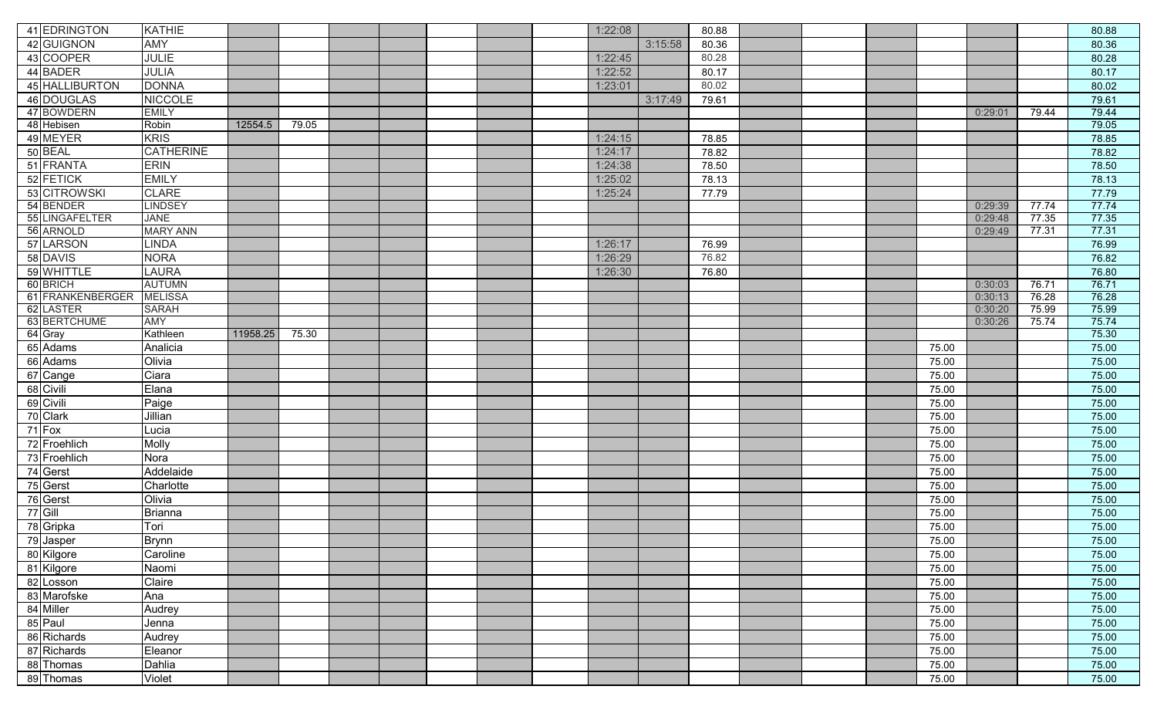| 41 EDRINGTON        | <b>KATHIE</b>          |          |       |  |  | 1:22:08 |         | 80.88 |  |       |         |       | 80.88          |
|---------------------|------------------------|----------|-------|--|--|---------|---------|-------|--|-------|---------|-------|----------------|
| 42 GUIGNON          | <b>AMY</b>             |          |       |  |  |         | 3:15:58 | 80.36 |  |       |         |       | 80.36          |
| 43 COOPER           | <b>JULIE</b>           |          |       |  |  | 1:22:45 |         | 80.28 |  |       |         |       | 80.28          |
| 44 BADER            | JULIA                  |          |       |  |  | 1:22:52 |         | 80.17 |  |       |         |       | 80.17          |
| 45 HALLIBURTON      | <b>DONNA</b>           |          |       |  |  | 1:23:01 |         | 80.02 |  |       |         |       | 80.02          |
| 46 DOUGLAS          | <b>NICCOLE</b>         |          |       |  |  |         | 3:17:49 | 79.61 |  |       |         |       | 79.61          |
| 47 BOWDERN          | <b>EMILY</b>           |          |       |  |  |         |         |       |  |       | 0:29:01 | 79.44 | 79.44          |
| 48 Hebisen          | Robin                  | 12554.5  | 79.05 |  |  |         |         |       |  |       |         |       | 79.05          |
| 49 MEYER            | <b>KRIS</b>            |          |       |  |  | 1:24:15 |         | 78.85 |  |       |         |       | 78.85          |
| 50 BEAL             | <b>CATHERINE</b>       |          |       |  |  | 1:24:17 |         | 78.82 |  |       |         |       | 78.82          |
| 51 FRANTA           | <b>ERIN</b>            |          |       |  |  | 1:24:38 |         | 78.50 |  |       |         |       | 78.50          |
| 52 FETICK           | <b>EMILY</b>           |          |       |  |  | 1:25:02 |         | 78.13 |  |       |         |       | 78.13          |
| 53 CITROWSKI        | <b>CLARE</b>           |          |       |  |  | 1:25:24 |         | 77.79 |  |       |         |       | 77.79          |
| 54 BENDER           | <b>LINDSEY</b>         |          |       |  |  |         |         |       |  |       | 0:29:39 | 77.74 | 77.74          |
| 55 LINGAFELTER      | <b>JANE</b>            |          |       |  |  |         |         |       |  |       | 0:29:48 | 77.35 | 77.35          |
| 56 ARNOLD           | <b>MARY ANN</b>        |          |       |  |  |         |         |       |  |       | 0:29:49 | 77.31 | 77.31          |
| 57 LARSON           | <b>LINDA</b>           |          |       |  |  | 1:26:17 |         | 76.99 |  |       |         |       | 76.99          |
| 58 DAVIS            | <b>NORA</b>            |          |       |  |  | 1:26:29 |         | 76.82 |  |       |         |       | 76.82          |
| 59 WHITTLE          | <b>LAURA</b>           |          |       |  |  | 1:26:30 |         | 76.80 |  |       |         |       | 76.80          |
| 60 BRICH            | <b>AUTUMN</b>          |          |       |  |  |         |         |       |  |       | 0:30:03 | 76.71 | 76.71          |
| 61 FRANKENBERGER    | <b>MELISSA</b>         |          |       |  |  |         |         |       |  |       | 0:30:13 | 76.28 | 76.28          |
| 62 LASTER           | <b>SARAH</b>           |          |       |  |  |         |         |       |  |       | 0:30:20 | 75.99 | 75.99          |
| 63 BERTCHUME        | <b>AMY</b><br>Kathleen | 11958.25 |       |  |  |         |         |       |  |       | 0:30:26 | 75.74 | 75.74<br>75.30 |
| 64 Gray<br>65 Adams |                        |          | 75.30 |  |  |         |         |       |  |       |         |       |                |
|                     | Analicia               |          |       |  |  |         |         |       |  | 75.00 |         |       | 75.00          |
| 66 Adams            | Olivia                 |          |       |  |  |         |         |       |  | 75.00 |         |       | 75.00          |
| 67 Cange            | Ciara                  |          |       |  |  |         |         |       |  | 75.00 |         |       | 75.00          |
| 68 Civili           | Elana                  |          |       |  |  |         |         |       |  | 75.00 |         |       | 75.00          |
| 69 Civili           | Paige                  |          |       |  |  |         |         |       |  | 75.00 |         |       | 75.00          |
| 70 Clark            | Jillian                |          |       |  |  |         |         |       |  | 75.00 |         |       | 75.00          |
| 71 Fox              | Lucia                  |          |       |  |  |         |         |       |  | 75.00 |         |       | 75.00          |
| 72 Froehlich        | Molly                  |          |       |  |  |         |         |       |  | 75.00 |         |       | 75.00          |
| 73 Froehlich        | Nora                   |          |       |  |  |         |         |       |  | 75.00 |         |       | 75.00          |
| 74 Gerst            | Addelaide              |          |       |  |  |         |         |       |  | 75.00 |         |       | 75.00          |
| 75 Gerst            | Charlotte              |          |       |  |  |         |         |       |  | 75.00 |         |       | 75.00          |
| 76 Gerst            | Olivia                 |          |       |  |  |         |         |       |  | 75.00 |         |       | 75.00          |
| $77$ Gill           | <b>Brianna</b>         |          |       |  |  |         |         |       |  | 75.00 |         |       | 75.00          |
| 78 Gripka           | Tori                   |          |       |  |  |         |         |       |  | 75.00 |         |       | 75.00          |
| 79 Jasper           | <b>Brynn</b>           |          |       |  |  |         |         |       |  | 75.00 |         |       | 75.00          |
| 80 Kilgore          | Caroline               |          |       |  |  |         |         |       |  | 75.00 |         |       | 75.00          |
| 81 Kilgore          | Naomi                  |          |       |  |  |         |         |       |  | 75.00 |         |       | 75.00          |
| 82 Losson           | Claire                 |          |       |  |  |         |         |       |  | 75.00 |         |       | 75.00          |
| 83 Marofske         | Ana                    |          |       |  |  |         |         |       |  | 75.00 |         |       | 75.00          |
| 84 Miller           | Audrey                 |          |       |  |  |         |         |       |  | 75.00 |         |       | 75.00          |
| 85 Paul             | Jenna                  |          |       |  |  |         |         |       |  | 75.00 |         |       | 75.00          |
| 86 Richards         | Audrey                 |          |       |  |  |         |         |       |  | 75.00 |         |       | 75.00          |
| 87 Richards         | Eleanor                |          |       |  |  |         |         |       |  | 75.00 |         |       | 75.00          |
| 88 Thomas           | Dahlia                 |          |       |  |  |         |         |       |  | 75.00 |         |       | 75.00          |
| 89 Thomas           | Violet                 |          |       |  |  |         |         |       |  | 75.00 |         |       | 75.00          |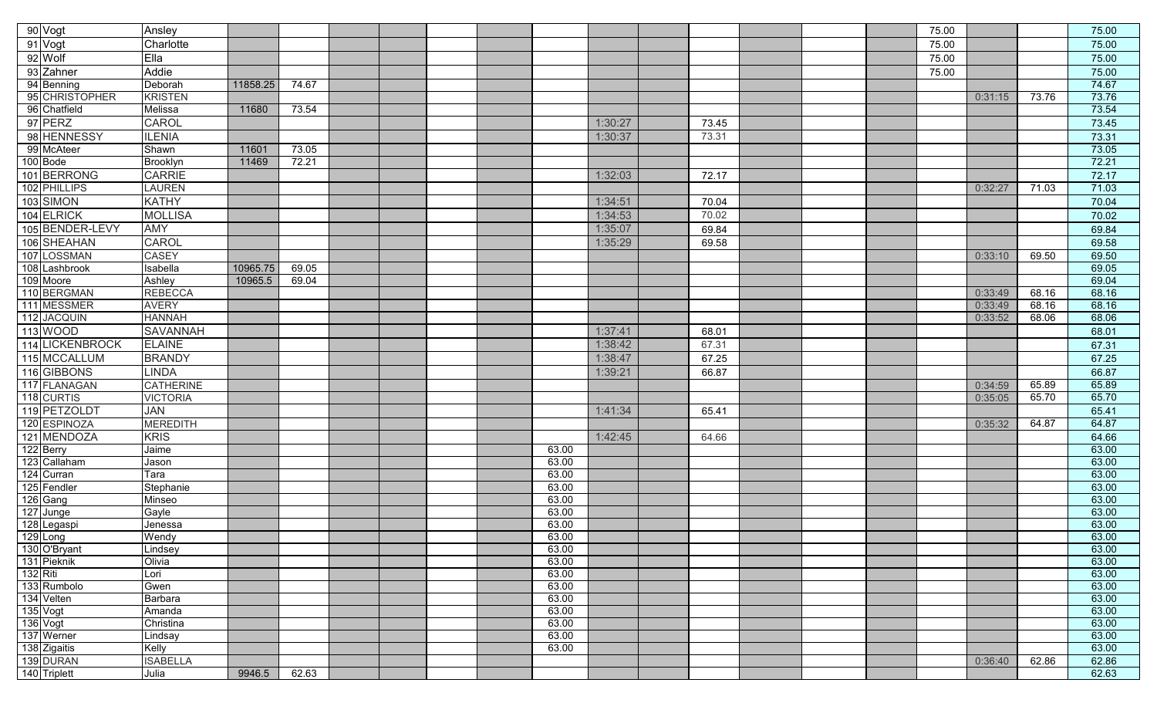|                  | 90 Vogt                   | Ansley                        |          |       |  |  |                |         |       |  | 75.00 |         |       | 75.00          |
|------------------|---------------------------|-------------------------------|----------|-------|--|--|----------------|---------|-------|--|-------|---------|-------|----------------|
|                  | 91 Vogt                   | Charlotte                     |          |       |  |  |                |         |       |  | 75.00 |         |       | 75.00          |
|                  | 92 Wolf                   | Ella                          |          |       |  |  |                |         |       |  | 75.00 |         |       | 75.00          |
|                  | 93 Zahner                 | Addie                         |          |       |  |  |                |         |       |  | 75.00 |         |       | 75.00          |
|                  | 94 Benning                | Deborah                       | 11858.25 | 74.67 |  |  |                |         |       |  |       |         |       | 74.67          |
|                  | 95 CHRISTOPHER            | <b>KRISTEN</b>                |          |       |  |  |                |         |       |  |       | 0:31:15 | 73.76 | 73.76          |
|                  | 96 Chatfield              | Melissa                       | 11680    | 73.54 |  |  |                |         |       |  |       |         |       | 73.54          |
|                  | 97 PERZ                   | CAROL                         |          |       |  |  |                | 1:30:27 | 73.45 |  |       |         |       | 73.45          |
|                  | 98 HENNESSY               | <b>ILENIA</b>                 |          |       |  |  |                | 1:30:37 | 73.31 |  |       |         |       | 73.31          |
|                  | 99 McAteer                | Shawn                         | 11601    | 73.05 |  |  |                |         |       |  |       |         |       | 73.05          |
|                  | 100 Bode                  | <b>Brooklyn</b>               | 11469    | 72.21 |  |  |                |         |       |  |       |         |       | 72.21          |
|                  | 101 BERRONG               | <b>CARRIE</b>                 |          |       |  |  |                | 1:32:03 | 72.17 |  |       |         |       | 72.17          |
|                  | 102 PHILLIPS              | <b>LAUREN</b>                 |          |       |  |  |                |         |       |  |       | 0:32:27 | 71.03 | 71.03          |
|                  | 103 SIMON                 | <b>KATHY</b>                  |          |       |  |  |                | 1:34:51 | 70.04 |  |       |         |       | 70.04          |
|                  | 104 ELRICK                |                               |          |       |  |  |                |         |       |  |       |         |       |                |
|                  |                           | <b>MOLLISA</b>                |          |       |  |  |                | 1:34:53 | 70.02 |  |       |         |       | 70.02          |
|                  | 105 BENDER-LEVY           | <b>AMY</b>                    |          |       |  |  |                | 1:35:07 | 69.84 |  |       |         |       | 69.84          |
|                  | 106 SHEAHAN               | CAROL                         |          |       |  |  |                | 1:35:29 | 69.58 |  |       |         |       | 69.58          |
|                  | 107 LOSSMAN               | <b>CASEY</b>                  |          |       |  |  |                |         |       |  |       | 0:33:10 | 69.50 | 69.50          |
|                  | 108 Lashbrook             | Isabella                      | 10965.75 | 69.05 |  |  |                |         |       |  |       |         |       | 69.05          |
|                  | 109 Moore<br>110 BERGMAN  | Ashley<br><b>REBECCA</b>      | 10965.5  | 69.04 |  |  |                |         |       |  |       | 0:33:49 | 68.16 | 69.04<br>68.16 |
|                  | 111 MESSMER               | <b>AVERY</b>                  |          |       |  |  |                |         |       |  |       | 0:33:49 | 68.16 | 68.16          |
|                  | 112 JACQUIN               | <b>HANNAH</b>                 |          |       |  |  |                |         |       |  |       | 0:33:52 | 68.06 | 68.06          |
|                  | 113 WOOD                  | <b>SAVANNAH</b>               |          |       |  |  |                | 1:37:41 | 68.01 |  |       |         |       | 68.01          |
| $\overline{114}$ | <b>LICKENBROCK</b>        | <b>ELAINE</b>                 |          |       |  |  |                | 1:38:42 | 67.31 |  |       |         |       | 67.31          |
|                  | 115 MCCALLUM              |                               |          |       |  |  |                |         |       |  |       |         |       |                |
|                  |                           | <b>BRANDY</b>                 |          |       |  |  |                | 1:38:47 | 67.25 |  |       |         |       | 67.25          |
|                  | 116 GIBBONS               | <b>LINDA</b>                  |          |       |  |  |                | 1:39:21 | 66.87 |  |       |         |       | 66.87          |
|                  | 117 FLANAGAN              | <b>CATHERINE</b>              |          |       |  |  |                |         |       |  |       | 0:34:59 | 65.89 | 65.89          |
|                  | 118 CURTIS                | <b>VICTORIA</b><br><b>JAN</b> |          |       |  |  |                |         |       |  |       | 0:35:05 | 65.70 | 65.70          |
|                  | 119 PETZOLDT              |                               |          |       |  |  |                | 1:41:34 | 65.41 |  |       |         |       | 65.41          |
|                  | 120 ESPINOZA              | <b>MEREDITH</b>               |          |       |  |  |                |         |       |  |       | 0:35:32 | 64.87 | 64.87          |
|                  | 121 MENDOZA               | <b>KRIS</b>                   |          |       |  |  |                | 1:42:45 | 64.66 |  |       |         |       | 64.66          |
|                  | 122 Berry<br>123 Callaham | Jaime                         |          |       |  |  | 63.00          |         |       |  |       |         |       | 63.00          |
|                  |                           | Jason                         |          |       |  |  | 63.00<br>63.00 |         |       |  |       |         |       | 63.00<br>63.00 |
|                  | 124 Curran<br>125 Fendler | Tara<br>Stephanie             |          |       |  |  | 63.00          |         |       |  |       |         |       | 63.00          |
|                  | 126 Gang                  | Minseo                        |          |       |  |  | 63.00          |         |       |  |       |         |       | 63.00          |
|                  | 127 Junge                 | Gayle                         |          |       |  |  | 63.00          |         |       |  |       |         |       | 63.00          |
|                  | 128 Legaspi               | Jenessa                       |          |       |  |  | 63.00          |         |       |  |       |         |       | 63.00          |
|                  | 129 Long                  | Wendy                         |          |       |  |  | 63.00          |         |       |  |       |         |       | 63.00          |
|                  | 130 O'Bryant              | Lindsey                       |          |       |  |  | 63.00          |         |       |  |       |         |       | 63.00          |
|                  | 131 Pieknik               | Olivia                        |          |       |  |  | 63.00          |         |       |  |       |         |       | 63.00          |
|                  |                           | Lori                          |          |       |  |  | 63.00          |         |       |  |       |         |       | 63.00          |
|                  | 132 Riti<br>133 Rumbolo   | Gwen                          |          |       |  |  | 63.00          |         |       |  |       |         |       | 63.00          |
|                  | 134 Velten                | Barbara                       |          |       |  |  | 63.00          |         |       |  |       |         |       | 63.00          |
|                  | 135 Vogt                  | Amanda                        |          |       |  |  | 63.00          |         |       |  |       |         |       | 63.00          |
|                  | 136 Vogt                  | Christina                     |          |       |  |  | 63.00          |         |       |  |       |         |       | 63.00          |
|                  | 137 Werner                | Lindsay                       |          |       |  |  | 63.00          |         |       |  |       |         |       | 63.00          |
|                  | 138 Zigaitis              | Kelly                         |          |       |  |  | 63.00          |         |       |  |       |         |       | 63.00          |
|                  | 139 DURAN                 | <b>ISABELLA</b>               |          |       |  |  |                |         |       |  |       | 0:36:40 | 62.86 | 62.86          |
|                  | 140 Triplett              | Julia                         | 9946.5   | 62.63 |  |  |                |         |       |  |       |         |       | 62.63          |